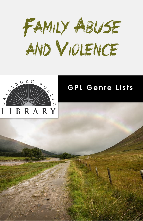



## **GPL Genre Lists**

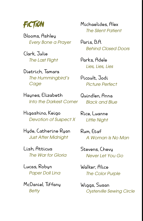

Blooms, Ashley *Every Bone a Prayer*

Clark, Julie *The Last Flight*

Dietrich, Tamara *The Hummingbird's Cage*

Haynes, Elizabeth *Into the Darkest Corner*

Higashino, Keigo *Devotion of Suspect X*

Hyde, Catherine Ryan *Just After Midnight*

Lish, Atticus *The War for Gloria*

Lucas, Robyn *Paper Doll Lina*

McDaniel, Tiffany *Betty*

Michaelides, Alex *The Silent Patient*

Paris, B.A. *Behind Closed Doors*

Parks, Adele *Lies, Lies, Lies*

Picoult, Jodi *Picture Perfect*

Quindlen, Anna *Black and Blue*

Rice, Luanne *Little Night*

Rum, Etaf *A Woman Is No Man*

Stevens, Chevy *Never Let You Go*

Walker, Alice *The Color Purple* 

Wiggs, Susan *Oysterville Sewing Circle*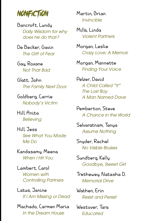

Bancroft, Lundy *Daily Wisdom for why does he do that?* 

De Becker, Gavin *The Gift of Fear*

Gay, Roxane *Not That Bad*

Glatt, John *The Family Next Door*

Goldberg, Carrie *Nobody's Victim*

Hill Anita *Believing*

Hill Jess *See What You Made Me Do*

[Kandasamy, Meena](https://ts360.baker-taylor.com/_layouts/CommerceServer/SearchResults.aspx?ngresponsiblepartyprimary=Kandasamy%2c%20Meena&rc=1) *When I Hit You*

Lambert, Carol *Women with Controlling Partners*

Latus, Janine *If I Am Missing or Dead*

Machado, Carmen Maria *In the Dream House*

Martin, Brian *Invincible*

Mills, Linda *Violent Partners*

Morgan, Leslie *Crazy Love: A Memoir*

Morgan, Mannette *Finding Your Voice*

Pelzer, David *A Child Called "It" The Lost Boy A Man Named Dave*

Pemberton, Steve *A Chance in the World*

Selvaratnam, Tanya *Assume Nothing*

Snyder, Rachel *No Visible Bruises*

Sundberg, Kelly *Goodbye, Sweet Girl*

Trethewey, Natasha D. *Memorial Drive*

Wathen, Erin *Resist and Persist*

Westover, Tara *Educated*